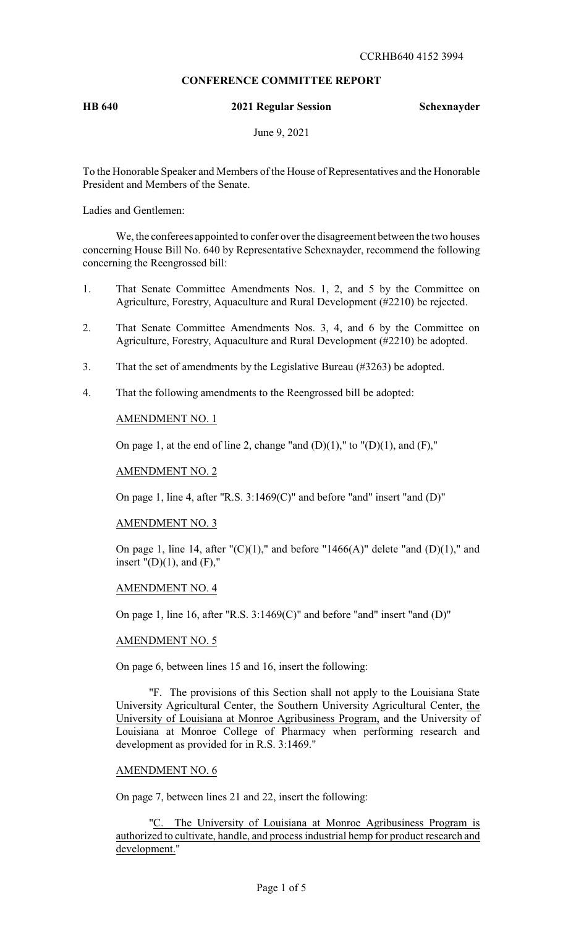# **CONFERENCE COMMITTEE REPORT**

**HB 640 2021 Regular Session Schexnayder**

June 9, 2021

To the Honorable Speaker and Members of the House of Representatives and the Honorable President and Members of the Senate.

Ladies and Gentlemen:

We, the conferees appointed to confer over the disagreement between the two houses concerning House Bill No. 640 by Representative Schexnayder, recommend the following concerning the Reengrossed bill:

- 1. That Senate Committee Amendments Nos. 1, 2, and 5 by the Committee on Agriculture, Forestry, Aquaculture and Rural Development (#2210) be rejected.
- 2. That Senate Committee Amendments Nos. 3, 4, and 6 by the Committee on Agriculture, Forestry, Aquaculture and Rural Development (#2210) be adopted.
- 3. That the set of amendments by the Legislative Bureau (#3263) be adopted.
- 4. That the following amendments to the Reengrossed bill be adopted:

### AMENDMENT NO. 1

On page 1, at the end of line 2, change "and  $(D)(1)$ ," to " $(D)(1)$ , and  $(F)$ ,"

#### AMENDMENT NO. 2

On page 1, line 4, after "R.S. 3:1469(C)" and before "and" insert "and (D)"

#### AMENDMENT NO. 3

On page 1, line 14, after " $(C)(1)$ ," and before "1466 $(A)$ " delete "and  $(D)(1)$ ," and insert  $"(\mathrm{D})(1)$ , and  $(F)$ ,"

#### AMENDMENT NO. 4

On page 1, line 16, after "R.S. 3:1469(C)" and before "and" insert "and (D)"

## AMENDMENT NO. 5

On page 6, between lines 15 and 16, insert the following:

"F. The provisions of this Section shall not apply to the Louisiana State University Agricultural Center, the Southern University Agricultural Center, the University of Louisiana at Monroe Agribusiness Program, and the University of Louisiana at Monroe College of Pharmacy when performing research and development as provided for in R.S. 3:1469."

## AMENDMENT NO. 6

On page 7, between lines 21 and 22, insert the following:

"C. The University of Louisiana at Monroe Agribusiness Program is authorized to cultivate, handle, and process industrial hemp for product research and development."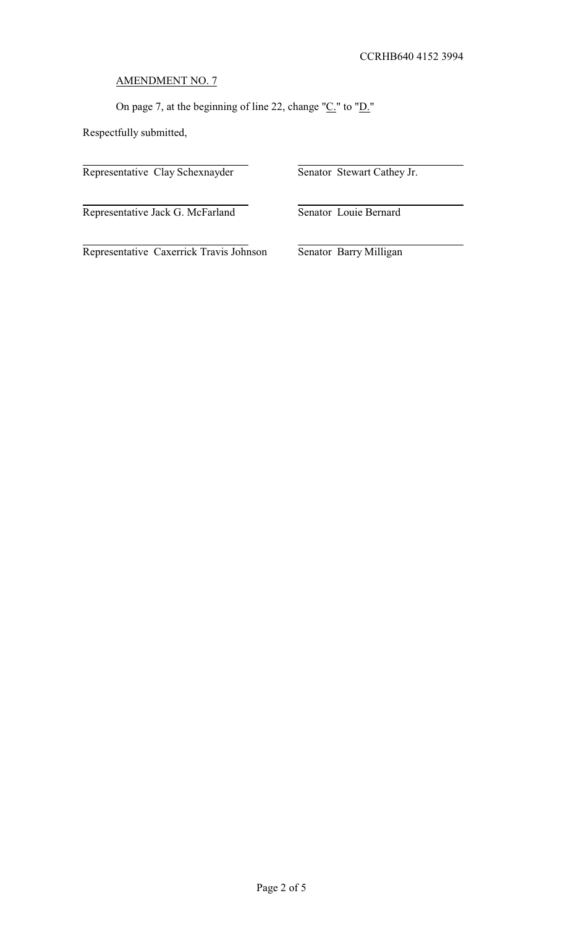AMENDMENT NO. 7

On page 7, at the beginning of line 22, change " $C$ ." to " $D$ ."

Respectfully submitted,

Representative Clay Schexnayder Senator Stewart Cathey Jr.

Representative Jack G. McFarland Senator Louie Bernard

Representative Caxerrick Travis Johnson Senator Barry Milligan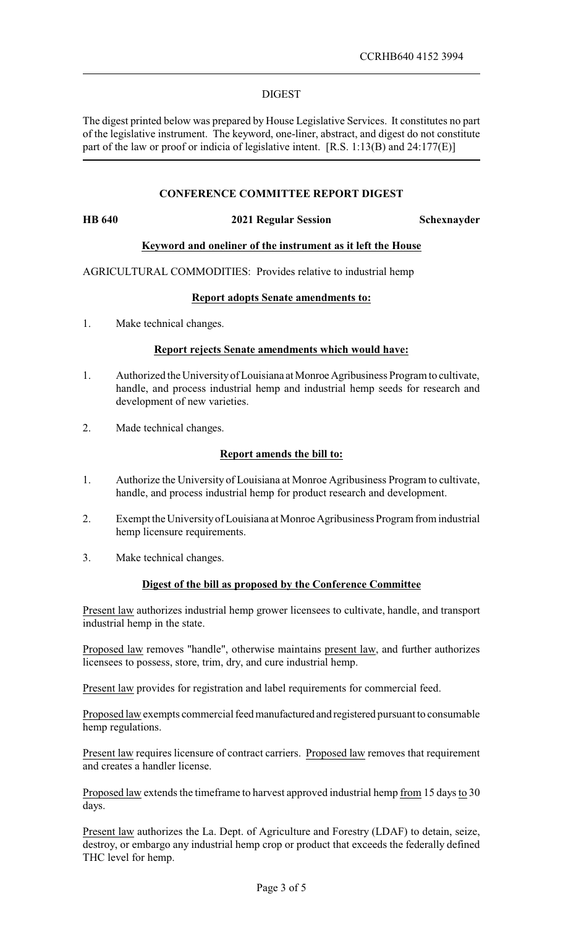#### DIGEST

The digest printed below was prepared by House Legislative Services. It constitutes no part of the legislative instrument. The keyword, one-liner, abstract, and digest do not constitute part of the law or proof or indicia of legislative intent. [R.S. 1:13(B) and 24:177(E)]

### **CONFERENCE COMMITTEE REPORT DIGEST**

**HB 640 2021 Regular Session Schexnayder**

## **Keyword and oneliner of the instrument as it left the House**

AGRICULTURAL COMMODITIES: Provides relative to industrial hemp

### **Report adopts Senate amendments to:**

1. Make technical changes.

### **Report rejects Senate amendments which would have:**

- 1. Authorized the University of Louisiana at Monroe Agribusiness Program to cultivate, handle, and process industrial hemp and industrial hemp seeds for research and development of new varieties.
- 2. Made technical changes.

#### **Report amends the bill to:**

- 1. Authorize the University of Louisiana at Monroe Agribusiness Program to cultivate, handle, and process industrial hemp for product research and development.
- 2. Exempt the Universityof Louisiana at Monroe Agribusiness Program from industrial hemp licensure requirements.
- 3. Make technical changes.

#### **Digest of the bill as proposed by the Conference Committee**

Present law authorizes industrial hemp grower licensees to cultivate, handle, and transport industrial hemp in the state.

Proposed law removes "handle", otherwise maintains present law, and further authorizes licensees to possess, store, trim, dry, and cure industrial hemp.

Present law provides for registration and label requirements for commercial feed.

Proposed law exempts commercial feedmanufactured and registered pursuant to consumable hemp regulations.

Present law requires licensure of contract carriers. Proposed law removes that requirement and creates a handler license.

Proposed law extends the timeframe to harvest approved industrial hemp from 15 days to 30 days.

Present law authorizes the La. Dept. of Agriculture and Forestry (LDAF) to detain, seize, destroy, or embargo any industrial hemp crop or product that exceeds the federally defined THC level for hemp.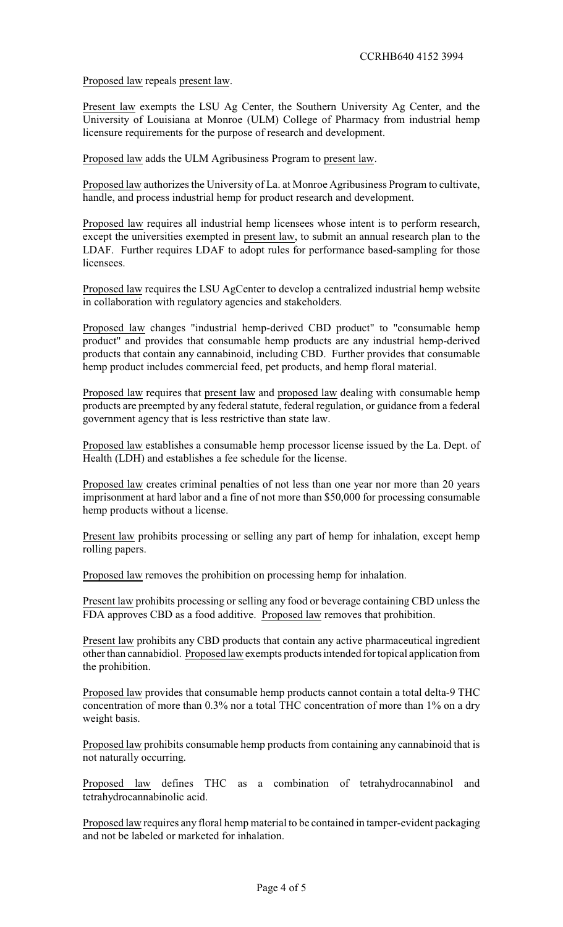Proposed law repeals present law.

Present law exempts the LSU Ag Center, the Southern University Ag Center, and the University of Louisiana at Monroe (ULM) College of Pharmacy from industrial hemp licensure requirements for the purpose of research and development.

Proposed law adds the ULM Agribusiness Program to present law.

Proposed law authorizes the University of La. at Monroe Agribusiness Program to cultivate, handle, and process industrial hemp for product research and development.

Proposed law requires all industrial hemp licensees whose intent is to perform research, except the universities exempted in present law, to submit an annual research plan to the LDAF. Further requires LDAF to adopt rules for performance based-sampling for those licensees.

Proposed law requires the LSU AgCenter to develop a centralized industrial hemp website in collaboration with regulatory agencies and stakeholders.

Proposed law changes "industrial hemp-derived CBD product" to "consumable hemp product" and provides that consumable hemp products are any industrial hemp-derived products that contain any cannabinoid, including CBD. Further provides that consumable hemp product includes commercial feed, pet products, and hemp floral material.

Proposed law requires that present law and proposed law dealing with consumable hemp products are preempted by any federal statute, federal regulation, or guidance from a federal government agency that is less restrictive than state law.

Proposed law establishes a consumable hemp processor license issued by the La. Dept. of Health (LDH) and establishes a fee schedule for the license.

Proposed law creates criminal penalties of not less than one year nor more than 20 years imprisonment at hard labor and a fine of not more than \$50,000 for processing consumable hemp products without a license.

Present law prohibits processing or selling any part of hemp for inhalation, except hemp rolling papers.

Proposed law removes the prohibition on processing hemp for inhalation.

Present law prohibits processing or selling any food or beverage containing CBD unless the FDA approves CBD as a food additive. Proposed law removes that prohibition.

Present law prohibits any CBD products that contain any active pharmaceutical ingredient other than cannabidiol. Proposed law exempts products intended for topical application from the prohibition.

Proposed law provides that consumable hemp products cannot contain a total delta-9 THC concentration of more than 0.3% nor a total THC concentration of more than 1% on a dry weight basis.

Proposed law prohibits consumable hemp products from containing any cannabinoid that is not naturally occurring.

Proposed law defines THC as a combination of tetrahydrocannabinol and tetrahydrocannabinolic acid.

Proposed law requires any floral hemp material to be contained in tamper-evident packaging and not be labeled or marketed for inhalation.